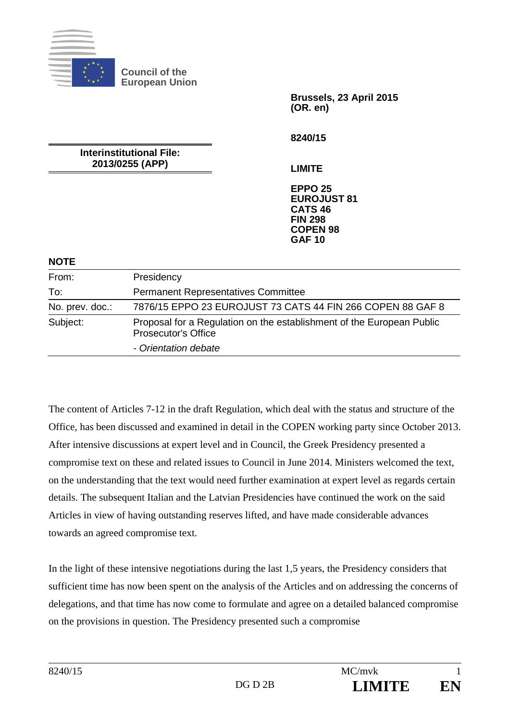

**Council of the European Union** 

**Interinstitutional File: 2013/0255 (APP)** 

**Brussels, 23 April 2015 (OR. en)** 

**8240/15** 

**LIMITE** 

**EPPO 25 EUROJUST 81 CATS 46 FIN 298 COPEN 98 GAF 10**

#### **NOTE**

| From:           | Presidency                                                                                          |
|-----------------|-----------------------------------------------------------------------------------------------------|
| To:             | <b>Permanent Representatives Committee</b>                                                          |
| No. prev. doc.: | 7876/15 EPPO 23 EUROJUST 73 CATS 44 FIN 266 COPEN 88 GAF 8                                          |
| Subject:        | Proposal for a Regulation on the establishment of the European Public<br><b>Prosecutor's Office</b> |
|                 | - Orientation debate                                                                                |

The content of Articles 7-12 in the draft Regulation, which deal with the status and structure of the Office, has been discussed and examined in detail in the COPEN working party since October 2013. After intensive discussions at expert level and in Council, the Greek Presidency presented a compromise text on these and related issues to Council in June 2014. Ministers welcomed the text, on the understanding that the text would need further examination at expert level as regards certain details. The subsequent Italian and the Latvian Presidencies have continued the work on the said Articles in view of having outstanding reserves lifted, and have made considerable advances towards an agreed compromise text.

In the light of these intensive negotiations during the last 1,5 years, the Presidency considers that sufficient time has now been spent on the analysis of the Articles and on addressing the concerns of delegations, and that time has now come to formulate and agree on a detailed balanced compromise on the provisions in question. The Presidency presented such a compromise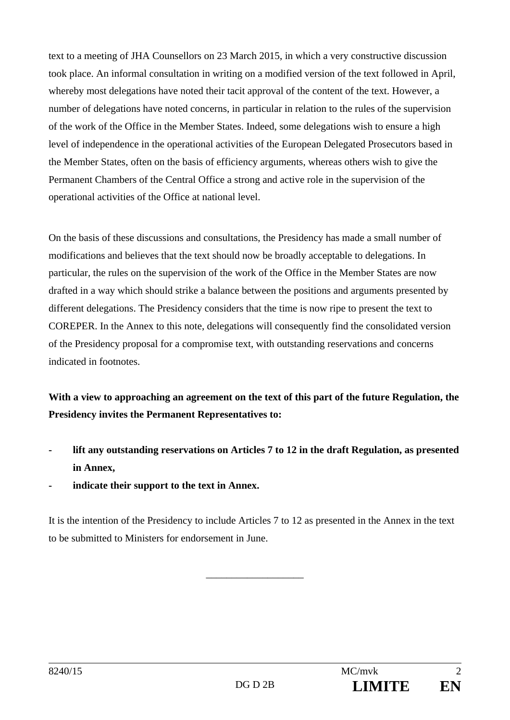text to a meeting of JHA Counsellors on 23 March 2015, in which a very constructive discussion took place. An informal consultation in writing on a modified version of the text followed in April, whereby most delegations have noted their tacit approval of the content of the text. However, a number of delegations have noted concerns, in particular in relation to the rules of the supervision of the work of the Office in the Member States. Indeed, some delegations wish to ensure a high level of independence in the operational activities of the European Delegated Prosecutors based in the Member States, often on the basis of efficiency arguments, whereas others wish to give the Permanent Chambers of the Central Office a strong and active role in the supervision of the operational activities of the Office at national level.

On the basis of these discussions and consultations, the Presidency has made a small number of modifications and believes that the text should now be broadly acceptable to delegations. In particular, the rules on the supervision of the work of the Office in the Member States are now drafted in a way which should strike a balance between the positions and arguments presented by different delegations. The Presidency considers that the time is now ripe to present the text to COREPER. In the Annex to this note, delegations will consequently find the consolidated version of the Presidency proposal for a compromise text, with outstanding reservations and concerns indicated in footnotes.

**With a view to approaching an agreement on the text of this part of the future Regulation, the Presidency invites the Permanent Representatives to:** 

- lift any outstanding reservations on Articles 7 to 12 in the draft Regulation, as presented **in Annex,**
- **indicate their support to the text in Annex.**

It is the intention of the Presidency to include Articles 7 to 12 as presented in the Annex in the text to be submitted to Ministers for endorsement in June.

\_\_\_\_\_\_\_\_\_\_\_\_\_\_\_\_\_\_\_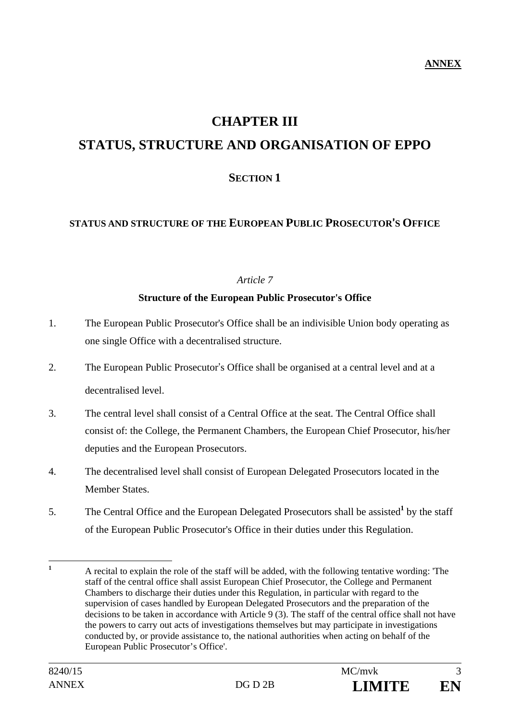# **CHAPTER III**

# **STATUS, STRUCTURE AND ORGANISATION OF EPPO**

# **SECTION 1**

### **STATUS AND STRUCTURE OF THE EUROPEAN PUBLIC PROSECUTOR**'**S OFFICE**

#### *Article 7*

#### **Structure of the European Public Prosecutor's Office**

- 1. The European Public Prosecutor's Office shall be an indivisible Union body operating as one single Office with a decentralised structure.
- 2. The European Public Prosecutor's Office shall be organised at a central level and at a decentralised level.
- 3. The central level shall consist of a Central Office at the seat. The Central Office shall consist of: the College, the Permanent Chambers, the European Chief Prosecutor, his/her deputies and the European Prosecutors.
- 4. The decentralised level shall consist of European Delegated Prosecutors located in the Member States.
- 5. The Central Office and the European Delegated Prosecutors shall be assisted<sup>1</sup> by the staff of the European Public Prosecutor's Office in their duties under this Regulation.

 **1** A recital to explain the role of the staff will be added, with the following tentative wording: 'The staff of the central office shall assist European Chief Prosecutor, the College and Permanent Chambers to discharge their duties under this Regulation, in particular with regard to the supervision of cases handled by European Delegated Prosecutors and the preparation of the decisions to be taken in accordance with Article 9 (3). The staff of the central office shall not have the powers to carry out acts of investigations themselves but may participate in investigations conducted by, or provide assistance to, the national authorities when acting on behalf of the European Public Prosecutor's Office'.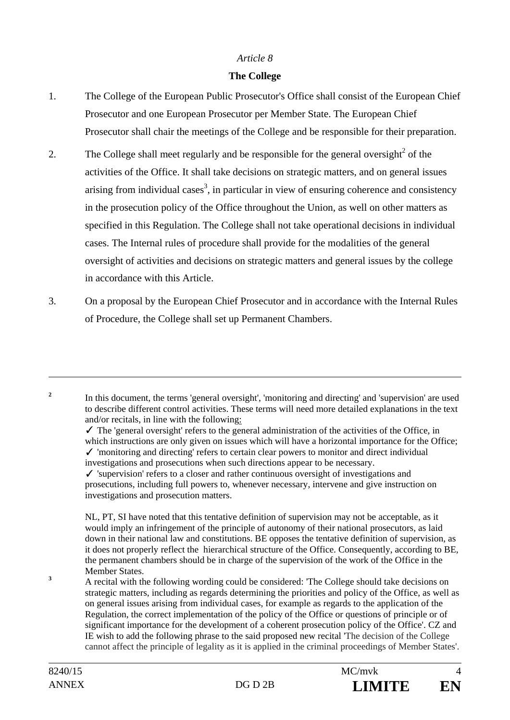#### *Article 8*

### **The College**

- 1. The College of the European Public Prosecutor's Office shall consist of the European Chief Prosecutor and one European Prosecutor per Member State. The European Chief Prosecutor shall chair the meetings of the College and be responsible for their preparation.
- 2. The College shall meet regularly and be responsible for the general oversight<sup>2</sup> of the activities of the Office. It shall take decisions on strategic matters, and on general issues arising from individual cases<sup>3</sup>, in particular in view of ensuring coherence and consistency in the prosecution policy of the Office throughout the Union, as well on other matters as specified in this Regulation. The College shall not take operational decisions in individual cases. The Internal rules of procedure shall provide for the modalities of the general oversight of activities and decisions on strategic matters and general issues by the college in accordance with this Article.
- 3. On a proposal by the European Chief Prosecutor and in accordance with the Internal Rules of Procedure, the College shall set up Permanent Chambers.

 In this document, the terms 'general oversight', 'monitoring and directing' and 'supervision' are used to describe different control activities. These terms will need more detailed explanations in the text and/or recitals, in line with the following:

 $\checkmark$  The 'general oversight' refers to the general administration of the activities of the Office, in which instructions are only given on issues which will have a horizontal importance for the Office;  $\checkmark$  'monitoring and directing' refers to certain clear powers to monitor and direct individual investigations and prosecutions when such directions appear to be necessary.

 $\checkmark$  'supervision' refers to a closer and rather continuous oversight of investigations and prosecutions, including full powers to, whenever necessary, intervene and give instruction on investigations and prosecution matters.

NL, PT, SI have noted that this tentative definition of supervision may not be acceptable, as it would imply an infringement of the principle of autonomy of their national prosecutors, as laid down in their national law and constitutions. BE opposes the tentative definition of supervision, as it does not properly reflect the hierarchical structure of the Office. Consequently, according to BE, the permanent chambers should be in charge of the supervision of the work of the Office in the Member States.

 A recital with the following wording could be considered: 'The College should take decisions on strategic matters, including as regards determining the priorities and policy of the Office, as well as on general issues arising from individual cases, for example as regards to the application of the Regulation, the correct implementation of the policy of the Office or questions of principle or of significant importance for the development of a coherent prosecution policy of the Office'. CZ and IE wish to add the following phrase to the said proposed new recital 'The decision of the College cannot affect the principle of legality as it is applied in the criminal proceedings of Member States'.

 $\overline{a}$ 

**2**

**3**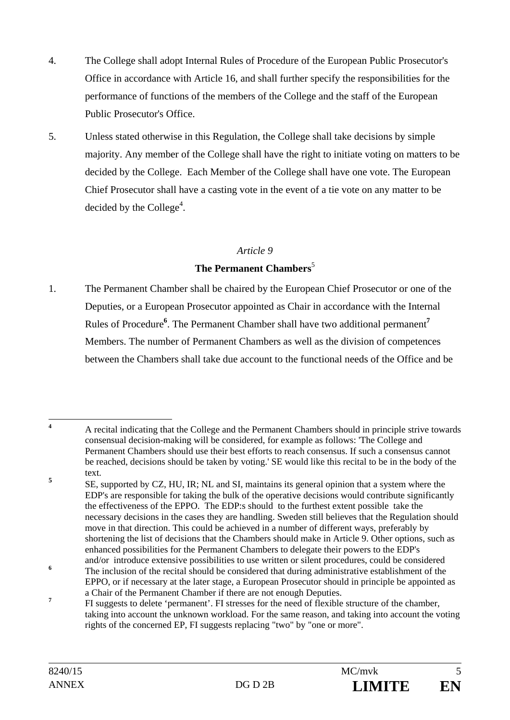- 4. The College shall adopt Internal Rules of Procedure of the European Public Prosecutor's Office in accordance with Article 16, and shall further specify the responsibilities for the performance of functions of the members of the College and the staff of the European Public Prosecutor's Office.
- 5. Unless stated otherwise in this Regulation, the College shall take decisions by simple majority. Any member of the College shall have the right to initiate voting on matters to be decided by the College. Each Member of the College shall have one vote. The European Chief Prosecutor shall have a casting vote in the event of a tie vote on any matter to be decided by the College<sup>4</sup>.

### *Article 9*

## **The Permanent Chambers**<sup>5</sup>

1. The Permanent Chamber shall be chaired by the European Chief Prosecutor or one of the Deputies, or a European Prosecutor appointed as Chair in accordance with the Internal Rules of Procedure**<sup>6</sup>** . The Permanent Chamber shall have two additional permanent**<sup>7</sup>** Members. The number of Permanent Chambers as well as the division of competences between the Chambers shall take due account to the functional needs of the Office and be

 $\overline{4}$ **<sup>4</sup>** A recital indicating that the College and the Permanent Chambers should in principle strive towards consensual decision-making will be considered, for example as follows: 'The College and Permanent Chambers should use their best efforts to reach consensus. If such a consensus cannot be reached, decisions should be taken by voting.' SE would like this recital to be in the body of the text. **5**

SE, supported by CZ, HU, IR; NL and SI, maintains its general opinion that a system where the EDP's are responsible for taking the bulk of the operative decisions would contribute significantly the effectiveness of the EPPO. The EDP:s should to the furthest extent possible take the necessary decisions in the cases they are handling. Sweden still believes that the Regulation should move in that direction. This could be achieved in a number of different ways, preferably by shortening the list of decisions that the Chambers should make in Article 9. Other options, such as enhanced possibilities for the Permanent Chambers to delegate their powers to the EDP's and/or introduce extensive possibilities to use written or silent procedures, could be considered

**<sup>6</sup>** The inclusion of the recital should be considered that during administrative establishment of the EPPO, or if necessary at the later stage, a European Prosecutor should in principle be appointed as a Chair of the Permanent Chamber if there are not enough Deputies.

**<sup>7</sup>** FI suggests to delete 'permanent'. FI stresses for the need of flexible structure of the chamber, taking into account the unknown workload. For the same reason, and taking into account the voting rights of the concerned EP, FI suggests replacing "two" by "one or more".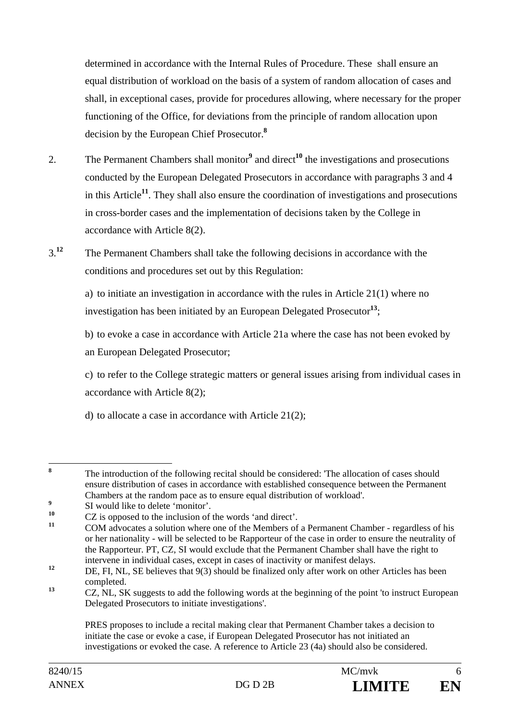determined in accordance with the Internal Rules of Procedure. These shall ensure an equal distribution of workload on the basis of a system of random allocation of cases and shall, in exceptional cases, provide for procedures allowing, where necessary for the proper functioning of the Office, for deviations from the principle of random allocation upon decision by the European Chief Prosecutor.**<sup>8</sup>**

- 2. The Permanent Chambers shall monitor<sup>9</sup> and direct<sup>10</sup> the investigations and prosecutions conducted by the European Delegated Prosecutors in accordance with paragraphs 3 and 4 in this Article**<sup>11</sup>**. They shall also ensure the coordination of investigations and prosecutions in cross-border cases and the implementation of decisions taken by the College in accordance with Article 8(2).
- 3.**<sup>12</sup>** The Permanent Chambers shall take the following decisions in accordance with the conditions and procedures set out by this Regulation:

 a) to initiate an investigation in accordance with the rules in Article 21(1) where no investigation has been initiated by an European Delegated Prosecutor**<sup>13</sup>**;

 b) to evoke a case in accordance with Article 21a where the case has not been evoked by an European Delegated Prosecutor;

 c) to refer to the College strategic matters or general issues arising from individual cases in accordance with Article 8(2);

d) to allocate a case in accordance with Article 21(2);

 **8** The introduction of the following recital should be considered: 'The allocation of cases should ensure distribution of cases in accordance with established consequence between the Permanent Chambers at the random pace as to ensure equal distribution of workload'.

**<sup>9</sup>**  $\frac{9}{10}$  SI would like to delete 'monitor'.

<sup>&</sup>lt;sup>10</sup> CZ is opposed to the inclusion of the words 'and direct'.

**<sup>11</sup>** COM advocates a solution where one of the Members of a Permanent Chamber - regardless of his or her nationality - will be selected to be Rapporteur of the case in order to ensure the neutrality of the Rapporteur. PT, CZ, SI would exclude that the Permanent Chamber shall have the right to intervene in individual cases, except in cases of inactivity or manifest delays.

<sup>&</sup>lt;sup>12</sup> DE, FI, NL, SE believes that 9(3) should be finalized only after work on other Articles has been completed.

<sup>&</sup>lt;sup>13</sup> CZ, NL, SK suggests to add the following words at the beginning of the point 'to instruct European Delegated Prosecutors to initiate investigations'.

PRES proposes to include a recital making clear that Permanent Chamber takes a decision to initiate the case or evoke a case, if European Delegated Prosecutor has not initiated an investigations or evoked the case. A reference to Article 23 (4a) should also be considered.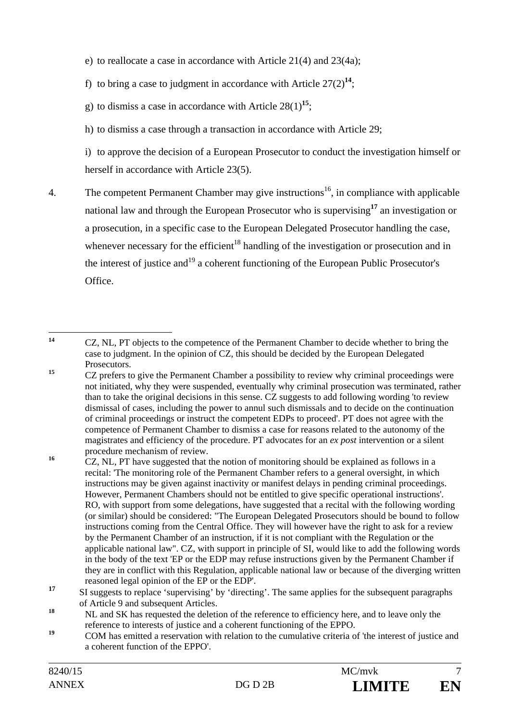e) to reallocate a case in accordance with Article 21(4) and 23(4a);

f) to bring a case to judgment in accordance with Article  $27(2)^{14}$ ;

g) to dismiss a case in accordance with Article  $28(1)^{15}$ ;

h) to dismiss a case through a transaction in accordance with Article 29;

 i) to approve the decision of a European Prosecutor to conduct the investigation himself or herself in accordance with Article 23(5).

4. The competent Permanent Chamber may give instructions<sup>16</sup>, in compliance with applicable national law and through the European Prosecutor who is supervising**<sup>17</sup>** an investigation or a prosecution, in a specific case to the European Delegated Prosecutor handling the case, whenever necessary for the efficient<sup>18</sup> handling of the investigation or prosecution and in the interest of justice and<sup>19</sup> a coherent functioning of the European Public Prosecutor's Office.

 $14$ **<sup>14</sup>** CZ, NL, PT objects to the competence of the Permanent Chamber to decide whether to bring the case to judgment. In the opinion of CZ, this should be decided by the European Delegated Prosecutors.

<sup>&</sup>lt;sup>15</sup> CZ prefers to give the Permanent Chamber a possibility to review why criminal proceedings were not initiated, why they were suspended, eventually why criminal prosecution was terminated, rather than to take the original decisions in this sense. CZ suggests to add following wording 'to review dismissal of cases, including the power to annul such dismissals and to decide on the continuation of criminal proceedings or instruct the competent EDPs to proceed'. PT does not agree with the competence of Permanent Chamber to dismiss a case for reasons related to the autonomy of the magistrates and efficiency of the procedure. PT advocates for an *ex post* intervention or a silent procedure mechanism of review.

<sup>&</sup>lt;sup>16</sup> CZ, NL, PT have suggested that the notion of monitoring should be explained as follows in a recital: 'The monitoring role of the Permanent Chamber refers to a general oversight, in which instructions may be given against inactivity or manifest delays in pending criminal proceedings. However, Permanent Chambers should not be entitled to give specific operational instructions'. RO, with support from some delegations, have suggested that a recital with the following wording (or similar) should be considered: "The European Delegated Prosecutors should be bound to follow instructions coming from the Central Office. They will however have the right to ask for a review by the Permanent Chamber of an instruction, if it is not compliant with the Regulation or the applicable national law". CZ, with support in principle of SI, would like to add the following words in the body of the text 'EP or the EDP may refuse instructions given by the Permanent Chamber if they are in conflict with this Regulation, applicable national law or because of the diverging written reasoned legal opinion of the EP or the EDP'.

<sup>&</sup>lt;sup>17</sup> SI suggests to replace 'supervising' by 'directing'. The same applies for the subsequent paragraphs of Article 9 and subsequent Articles.

<sup>&</sup>lt;sup>18</sup> NL and SK has requested the deletion of the reference to efficiency here, and to leave only the reference to interests of justice and a coherent functioning of the EPPO.

<sup>&</sup>lt;sup>19</sup> COM has emitted a reservation with relation to the cumulative criteria of 'the interest of justice and a coherent function of the EPPO'.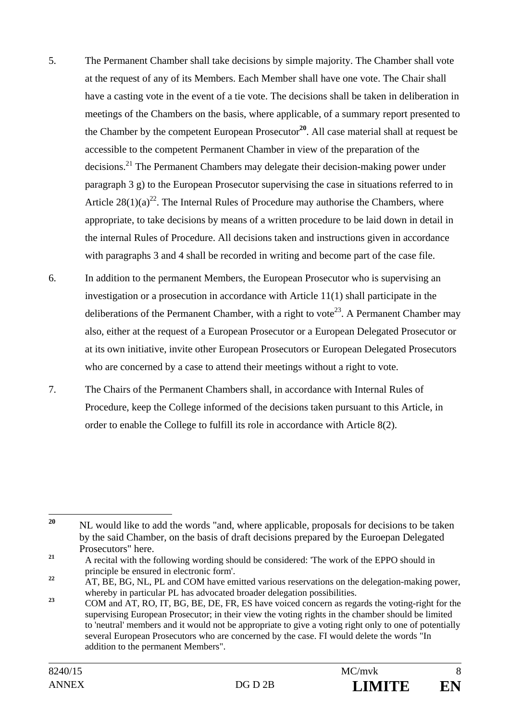- 5. The Permanent Chamber shall take decisions by simple majority. The Chamber shall vote at the request of any of its Members. Each Member shall have one vote. The Chair shall have a casting vote in the event of a tie vote. The decisions shall be taken in deliberation in meetings of the Chambers on the basis, where applicable, of a summary report presented to the Chamber by the competent European Prosecutor**<sup>20</sup>**. All case material shall at request be accessible to the competent Permanent Chamber in view of the preparation of the decisions.21 The Permanent Chambers may delegate their decision-making power under paragraph 3 g) to the European Prosecutor supervising the case in situations referred to in Article  $28(1)(a)^{22}$ . The Internal Rules of Procedure may authorise the Chambers, where appropriate, to take decisions by means of a written procedure to be laid down in detail in the internal Rules of Procedure. All decisions taken and instructions given in accordance with paragraphs 3 and 4 shall be recorded in writing and become part of the case file.
- 6. In addition to the permanent Members, the European Prosecutor who is supervising an investigation or a prosecution in accordance with Article 11(1) shall participate in the deliberations of the Permanent Chamber, with a right to vote<sup>23</sup>. A Permanent Chamber may also, either at the request of a European Prosecutor or a European Delegated Prosecutor or at its own initiative, invite other European Prosecutors or European Delegated Prosecutors who are concerned by a case to attend their meetings without a right to vote.
- 7. The Chairs of the Permanent Chambers shall, in accordance with Internal Rules of Procedure, keep the College informed of the decisions taken pursuant to this Article, in order to enable the College to fulfill its role in accordance with Article 8(2).

 $20$ **<sup>20</sup>** NL would like to add the words "and, where applicable, proposals for decisions to be taken by the said Chamber, on the basis of draft decisions prepared by the Euroepan Delegated Prosecutors" here.

<sup>&</sup>lt;sup>21</sup> A recital with the following wording should be considered: 'The work of the EPPO should in principle be ensured in electronic form'.

<sup>&</sup>lt;sup>22</sup> AT, BE, BG, NL, PL and COM have emitted various reservations on the delegation-making power, whereby in particular PL has advocated broader delegation possibilities.

<sup>&</sup>lt;sup>23</sup> COM and AT, RO, IT, BG, BE, DE, FR, ES have voiced concern as regards the voting-right for the supervising European Prosecutor; in their view the voting rights in the chamber should be limited to 'neutral' members and it would not be appropriate to give a voting right only to one of potentially several European Prosecutors who are concerned by the case. FI would delete the words "In addition to the permanent Members".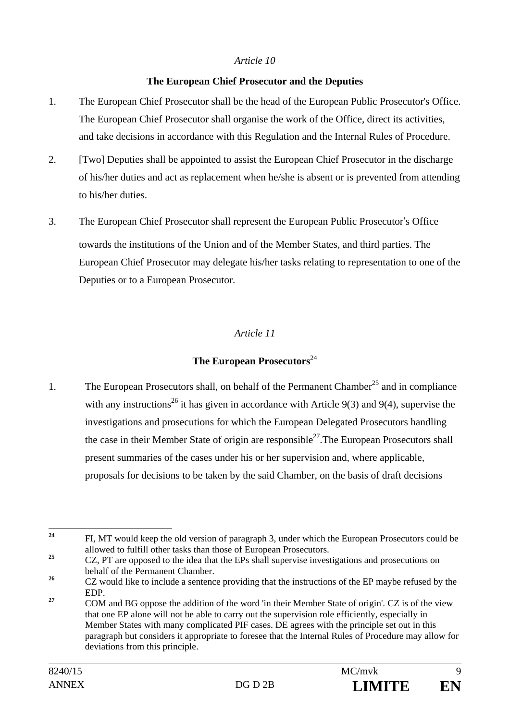#### *Article 10*

### **The European Chief Prosecutor and the Deputies**

- 1. The European Chief Prosecutor shall be the head of the European Public Prosecutor's Office. The European Chief Prosecutor shall organise the work of the Office, direct its activities, and take decisions in accordance with this Regulation and the Internal Rules of Procedure.
- 2. [Two] Deputies shall be appointed to assist the European Chief Prosecutor in the discharge of his/her duties and act as replacement when he/she is absent or is prevented from attending to his/her duties.
- 3. The European Chief Prosecutor shall represent the European Public Prosecutor's Office towards the institutions of the Union and of the Member States, and third parties. The European Chief Prosecutor may delegate his/her tasks relating to representation to one of the Deputies or to a European Prosecutor.

# *Article 11*

# **The European Prosecutors**<sup>24</sup>

1. The European Prosecutors shall, on behalf of the Permanent Chamber<sup>25</sup> and in compliance with any instructions<sup>26</sup> it has given in accordance with Article 9(3) and 9(4), supervise the investigations and prosecutions for which the European Delegated Prosecutors handling the case in their Member State of origin are responsible<sup>27</sup>. The European Prosecutors shall present summaries of the cases under his or her supervision and, where applicable, proposals for decisions to be taken by the said Chamber, on the basis of draft decisions

<sup>24</sup> **<sup>24</sup>** FI, MT would keep the old version of paragraph 3, under which the European Prosecutors could be allowed to fulfill other tasks than those of European Prosecutors.

<sup>&</sup>lt;sup>25</sup> CZ, PT are opposed to the idea that the EPs shall supervise investigations and prosecutions on behalf of the Permanent Chamber.

<sup>&</sup>lt;sup>26</sup> CZ would like to include a sentence providing that the instructions of the EP maybe refused by the EDP.

<sup>&</sup>lt;sup>27</sup> COM and BG oppose the addition of the word 'in their Member State of origin'. CZ is of the view that one EP alone will not be able to carry out the supervision role efficiently, especially in Member States with many complicated PIF cases. DE agrees with the principle set out in this paragraph but considers it appropriate to foresee that the Internal Rules of Procedure may allow for deviations from this principle.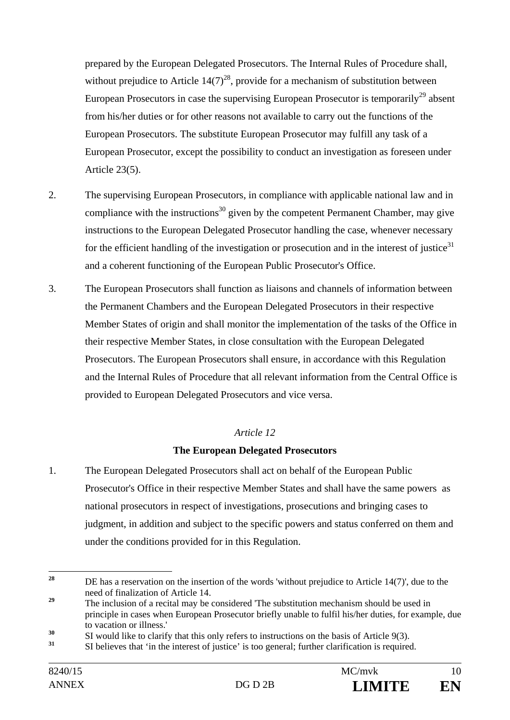prepared by the European Delegated Prosecutors. The Internal Rules of Procedure shall, without prejudice to Article  $14(7)^{28}$ , provide for a mechanism of substitution between European Prosecutors in case the supervising European Prosecutor is temporarily<sup>29</sup> absent from his/her duties or for other reasons not available to carry out the functions of the European Prosecutors. The substitute European Prosecutor may fulfill any task of a European Prosecutor, except the possibility to conduct an investigation as foreseen under Article 23(5).

- 2. The supervising European Prosecutors, in compliance with applicable national law and in compliance with the instructions<sup>30</sup> given by the competent Permanent Chamber, may give instructions to the European Delegated Prosecutor handling the case, whenever necessary for the efficient handling of the investigation or prosecution and in the interest of justice $31$ and a coherent functioning of the European Public Prosecutor's Office.
- 3. The European Prosecutors shall function as liaisons and channels of information between the Permanent Chambers and the European Delegated Prosecutors in their respective Member States of origin and shall monitor the implementation of the tasks of the Office in their respective Member States, in close consultation with the European Delegated Prosecutors. The European Prosecutors shall ensure, in accordance with this Regulation and the Internal Rules of Procedure that all relevant information from the Central Office is provided to European Delegated Prosecutors and vice versa.

## *Article 12*

## **The European Delegated Prosecutors**

1. The European Delegated Prosecutors shall act on behalf of the European Public Prosecutor's Office in their respective Member States and shall have the same powers as national prosecutors in respect of investigations, prosecutions and bringing cases to judgment, in addition and subject to the specific powers and status conferred on them and under the conditions provided for in this Regulation.

 $28$ **<sup>28</sup>** DE has a reservation on the insertion of the words 'without prejudice to Article 14(7)', due to the need of finalization of Article 14.

<sup>&</sup>lt;sup>29</sup> The inclusion of a recital may be considered 'The substitution mechanism should be used in principle in cases when European Prosecutor briefly unable to fulfil his/her duties, for example, due to vacation or illness.'

<sup>&</sup>lt;sup>30</sup> SI would like to clarify that this only refers to instructions on the basis of Article 9(3).

**<sup>31</sup>** SI believes that 'in the interest of justice' is too general; further clarification is required.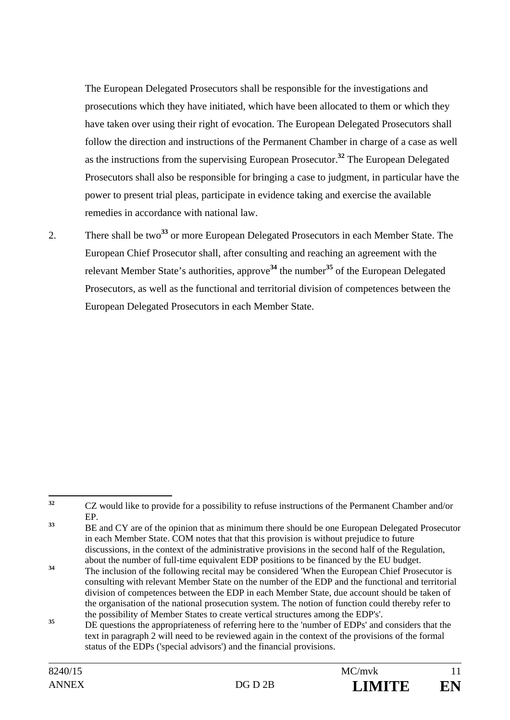The European Delegated Prosecutors shall be responsible for the investigations and prosecutions which they have initiated, which have been allocated to them or which they have taken over using their right of evocation. The European Delegated Prosecutors shall follow the direction and instructions of the Permanent Chamber in charge of a case as well as the instructions from the supervising European Prosecutor.**<sup>32</sup>** The European Delegated Prosecutors shall also be responsible for bringing a case to judgment, in particular have the power to present trial pleas, participate in evidence taking and exercise the available remedies in accordance with national law.

2. There shall be two**<sup>33</sup>** or more European Delegated Prosecutors in each Member State. The European Chief Prosecutor shall, after consulting and reaching an agreement with the relevant Member State's authorities, approve**<sup>34</sup>** the number**<sup>35</sup>** of the European Delegated Prosecutors, as well as the functional and territorial division of competences between the European Delegated Prosecutors in each Member State.

 $32$ **<sup>32</sup>** CZ would like to provide for a possibility to refuse instructions of the Permanent Chamber and/or EP.

<sup>&</sup>lt;sup>33</sup> BE and CY are of the opinion that as minimum there should be one European Delegated Prosecutor in each Member State. COM notes that that this provision is without prejudice to future discussions, in the context of the administrative provisions in the second half of the Regulation, about the number of full-time equivalent EDP positions to be financed by the EU budget.

<sup>&</sup>lt;sup>34</sup> The inclusion of the following recital may be considered 'When the European Chief Prosecutor is consulting with relevant Member State on the number of the EDP and the functional and territorial division of competences between the EDP in each Member State, due account should be taken of the organisation of the national prosecution system. The notion of function could thereby refer to the possibility of Member States to create vertical structures among the EDP's'.

<sup>&</sup>lt;sup>35</sup> DE questions the appropriateness of referring here to the 'number of EDPs' and considers that the text in paragraph 2 will need to be reviewed again in the context of the provisions of the formal status of the EDPs ('special advisors') and the financial provisions.